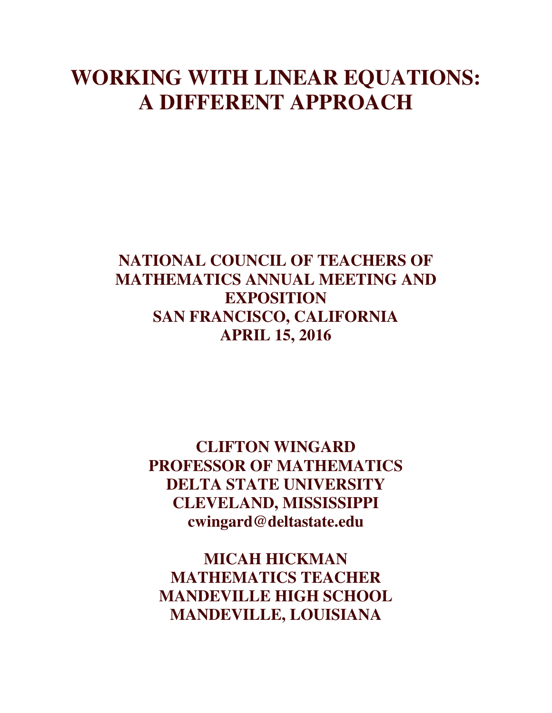# **WORKING WITH LINEAR EQUATIONS: A DIFFERENT APPROACH**

## **NATIONAL COUNCIL OF TEACHERS OF MATHEMATICS ANNUAL MEETING AND EXPOSITION SAN FRANCISCO, CALIFORNIA APRIL 15, 2016**

**CLIFTON WINGARD PROFESSOR OF MATHEMATICS DELTA STATE UNIVERSITY CLEVELAND, MISSISSIPPI cwingard@deltastate.edu**

**MICAH HICKMAN MATHEMATICS TEACHER MANDEVILLE HIGH SCHOOL MANDEVILLE, LOUISIANA**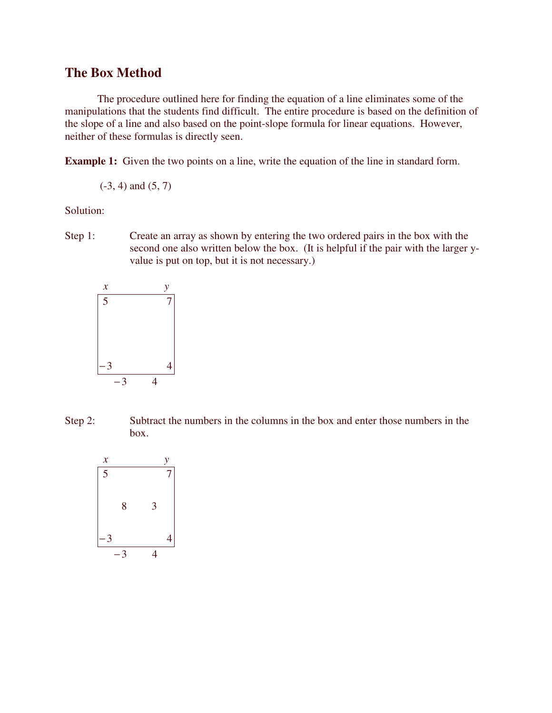#### **The Box Method**

The procedure outlined here for finding the equation of a line eliminates some of the manipulations that the students find difficult. The entire procedure is based on the definition of the slope of a line and also based on the point-slope formula for linear equations. However, neither of these formulas is directly seen.

**Example 1:** Given the two points on a line, write the equation of the line in standard form.

 $(-3, 4)$  and  $(5, 7)$ 

Solution:

Step 1: Create an array as shown by entering the two ordered pairs in the box with the second one also written below the box. (It is helpful if the pair with the larger yvalue is put on top, but it is not necessary.)



Step 2: Subtract the numbers in the columns in the box and enter those numbers in the box.

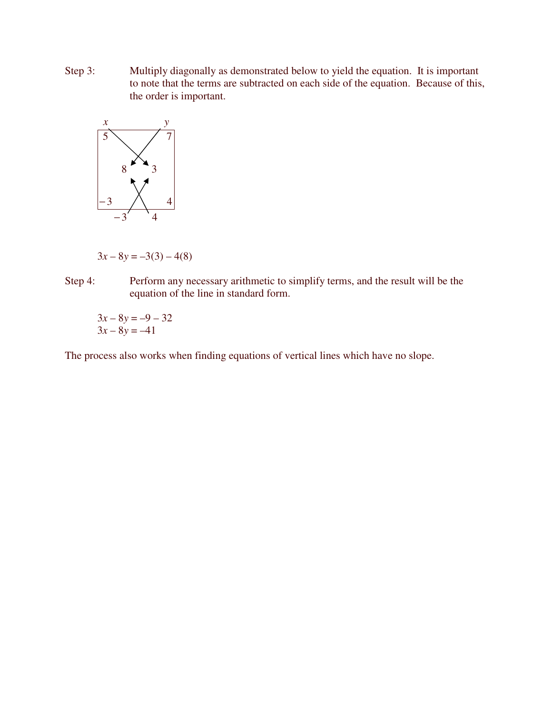Step 3: Multiply diagonally as demonstrated below to yield the equation. It is important to note that the terms are subtracted on each side of the equation. Because of this, the order is important.



 $3x - 8y = -3(3) - 4(8)$ 

Step 4: Perform any necessary arithmetic to simplify terms, and the result will be the equation of the line in standard form.

 $3x - 8y = -9 - 32$  $3x - 8y = -41$ 

The process also works when finding equations of vertical lines which have no slope.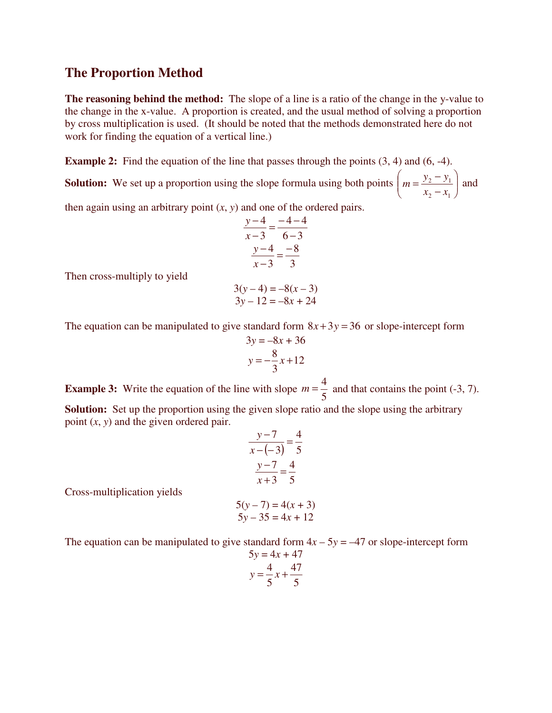#### **The Proportion Method**

**The reasoning behind the method:** The slope of a line is a ratio of the change in the y-value to the change in the x-value. A proportion is created, and the usual method of solving a proportion by cross multiplication is used. (It should be noted that the methods demonstrated here do not work for finding the equation of a vertical line.)

**Example 2:** Find the equation of the line that passes through the points (3, 4) and (6, -4).

**Solution:** We set up a proportion using the slope formula using both points  $\left| m = \frac{y_2 - y_1}{x} \right|$ -  $\backslash$  $\mathsf{I}$ J ſ −  $=\frac{y_2-}{x_2-}$ 2  $\lambda_1$ 2  $y_1$  $x_2 - x$  $m = \frac{y_2 - y_1}{y_2 - y_1}$  and

then again using an arbitrary point (*x*, *y*) and one of the ordered pairs.

$$
\frac{y-4}{x-3} = \frac{-4-4}{6-3}
$$

$$
\frac{y-4}{x-3} = \frac{-8}{3}
$$

Then cross-multiply to yield

$$
3(y-4) = -8(x-3)
$$
  
3y-12 = -8x + 24

The equation can be manipulated to give standard form  $8x + 3y = 36$  or slope-intercept form

$$
3y = -8x + 36
$$

$$
y = -\frac{8}{3}x + 12
$$

**Example 3:** Write the equation of the line with slope 5  $m = \frac{4}{5}$  and that contains the point (-3, 7). **Solution:** Set up the proportion using the given slope ratio and the slope using the arbitrary point (*x*, *y*) and the given ordered pair.

$$
\frac{y-7}{x-(-3)} = \frac{4}{5}
$$
  

$$
\frac{y-7}{x+3} = \frac{4}{5}
$$

Cross-multiplication yields

$$
5(y-7) = 4(x + 3)
$$
  

$$
5y - 35 = 4x + 12
$$

The equation can be manipulated to give standard form  $4x - 5y = -47$  or slope-intercept form

$$
5y = 4x + 47
$$

$$
y = \frac{4}{5}x + \frac{47}{5}
$$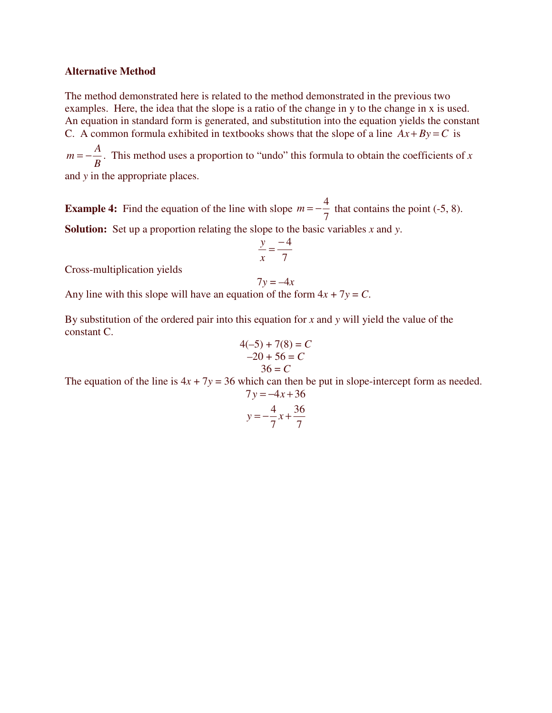#### **Alternative Method**

The method demonstrated here is related to the method demonstrated in the previous two examples. Here, the idea that the slope is a ratio of the change in y to the change in x is used. An equation in standard form is generated, and substitution into the equation yields the constant C. A common formula exhibited in textbooks shows that the slope of a line  $Ax + By = C$  is

*B*  $m = -\frac{A}{R}$ . This method uses a proportion to "undo" this formula to obtain the coefficients of *x* 

and *y* in the appropriate places.

**Example 4:** Find the equation of the line with slope 7  $m = -\frac{4}{7}$  that contains the point (-5, 8). **Solution:** Set up a proportion relating the slope to the basic variables *x* and *y*.

$$
\frac{y}{x} = \frac{-4}{7}
$$

Cross-multiplication yields

$$
7y = -4x
$$

Any line with this slope will have an equation of the form  $4x + 7y = C$ .

By substitution of the ordered pair into this equation for *x* and *y* will yield the value of the constant C.

$$
4(-5) + 7(8) = C
$$
  
-20 + 56 = C  
36 = C

The equation of the line is  $4x + 7y = 36$  which can then be put in slope-intercept form as needed.  $7y = -4x + 36$ 

$$
y = -\frac{4}{7}x + \frac{36}{7}
$$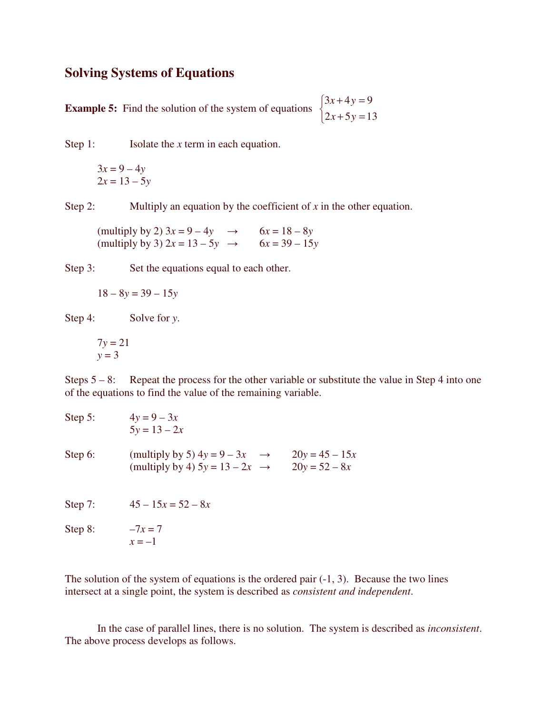#### **Solving Systems of Equations**

**Example 5:** Find the solution of the system of equations  $\mathfrak{c}$ ∤  $\int$  $+ 5y =$  $+4y =$  $2x + 5y = 13$  $3x + 4y = 9$  $x + 5y$  $x + 4y$ 

Step 1: Isolate the *x* term in each equation.

$$
3x = 9 - 4y
$$
  

$$
2x = 13 - 5y
$$

Step 2: Multiply an equation by the coefficient of *x* in the other equation.

(multiply by 2)  $3x = 9 - 4y \rightarrow 6x = 18 - 8y$ (multiply by 3)  $2x = 13 - 5y \rightarrow 6x = 39 - 15y$ 

Step 3: Set the equations equal to each other.

$$
18 - 8y = 39 - 15y
$$

Step 4: Solve for *y*.

$$
7y = 21
$$
  

$$
y = 3
$$

Steps  $5 - 8$ : Repeat the process for the other variable or substitute the value in Step 4 into one of the equations to find the value of the remaining variable.

| Step 5: | $4y = 9 - 3x$<br>$5y = 13 - 2x$                                                              |                                     |
|---------|----------------------------------------------------------------------------------------------|-------------------------------------|
| Step 6: | (multiply by 5) $4y = 9 - 3x$<br>$\rightarrow$<br>(multiply by 4) $5y = 13 - 2x \rightarrow$ | $20y = 45 - 15x$<br>$20y = 52 - 8x$ |
| Step 7: | $45 - 15x = 52 - 8x$                                                                         |                                     |
| Step 8: | $-7x = 7$<br>$x=-1$                                                                          |                                     |

The solution of the system of equations is the ordered pair  $(-1, 3)$ . Because the two lines intersect at a single point, the system is described as *consistent and independent*.

In the case of parallel lines, there is no solution. The system is described as *inconsistent*. The above process develops as follows.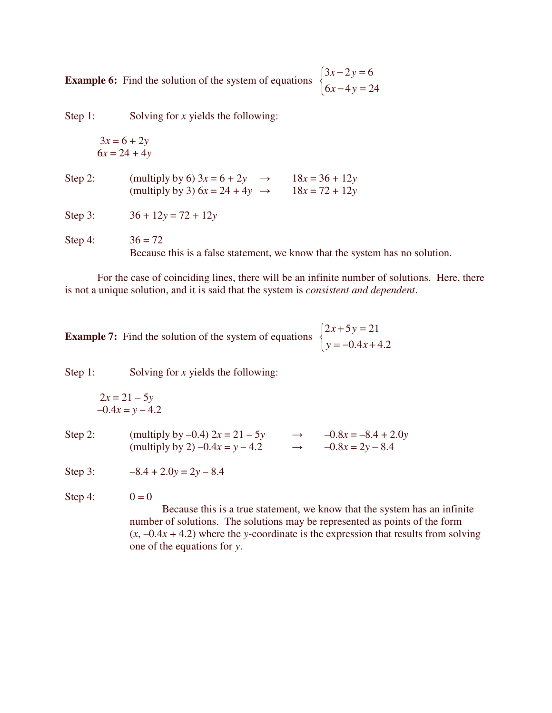**Example 6:** Find the solution of the system of equations  $\mathfrak{c}$ ∤  $\int$  $-4y =$  $-2y =$  $6x - 4y = 24$  $3x - 2y = 6$  $x - 4y$  $x - 2y$ 

Step 1: Solving for *x* yields the following:

$$
3x = 6 + 2y
$$

$$
6x = 24 + 4y
$$

Step 2: (multiply by 6)  $3x = 6 + 2y \rightarrow 18x = 36 + 12y$ (multiply by 3)  $6x = 24 + 4y \rightarrow 18x = 72 + 12y$ 

Step 3:  $36 + 12y = 72 + 12y$ 

Step 4:  $36 = 72$ Because this is a false statement, we know that the system has no solution.

For the case of coinciding lines, there will be an infinite number of solutions. Here, there is not a unique solution, and it is said that the system is *consistent and dependent*.

**Example 7:** Find the solution of the system of equations  $\mathfrak{c}$ ∤  $\int$  $=-0.4x +$  $+ 5y =$  $0.4x + 4.2$  $2x+5y=21$  $y = -0.4x$  $x + 5y$ 

Step 1: Solving for *x* yields the following:

$$
2x = 21 - 5y
$$
  

$$
-0.4x = y - 4.2
$$

Step 2: (multiply by –0.4)  $2x = 21 - 5y$   $\rightarrow$   $-0.8x = -8.4 + 2.0y$ (multiply by 2) –0.4*x* = *y* – 4.2  $\rightarrow$  –0.8*x* = 2*y* – 8.4

Step 3:  $-8.4 + 2.0y = 2y - 8.4$ 

Step 4:  $0 = 0$ 

Because this is a true statement, we know that the system has an infinite number of solutions. The solutions may be represented as points of the form  $(x, -0.4x + 4.2)$  where the *y*-coordinate is the expression that results from solving one of the equations for *y*.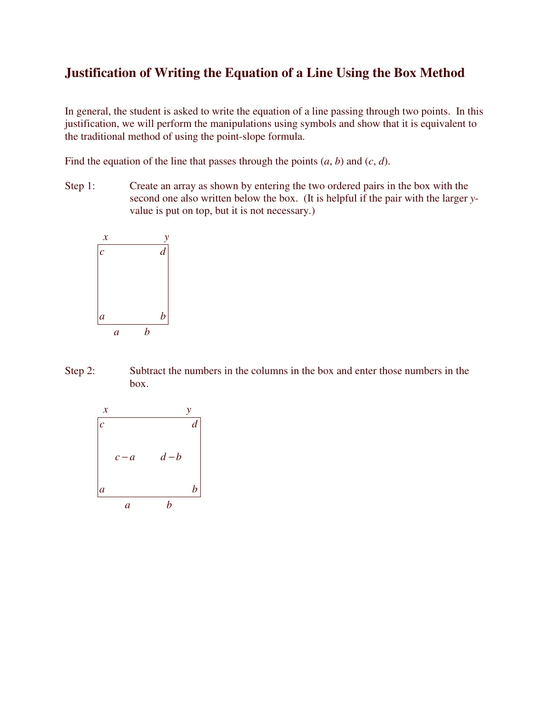### **Justification of Writing the Equation of a Line Using the Box Method**

In general, the student is asked to write the equation of a line passing through two points. In this justification, we will perform the manipulations using symbols and show that it is equivalent to the traditional method of using the point-slope formula.

Find the equation of the line that passes through the points  $(a, b)$  and  $(c, d)$ .

Step 1: Create an array as shown by entering the two ordered pairs in the box with the second one also written below the box. (It is helpful if the pair with the larger *y*value is put on top, but it is not necessary.)



Step 2: Subtract the numbers in the columns in the box and enter those numbers in the box.